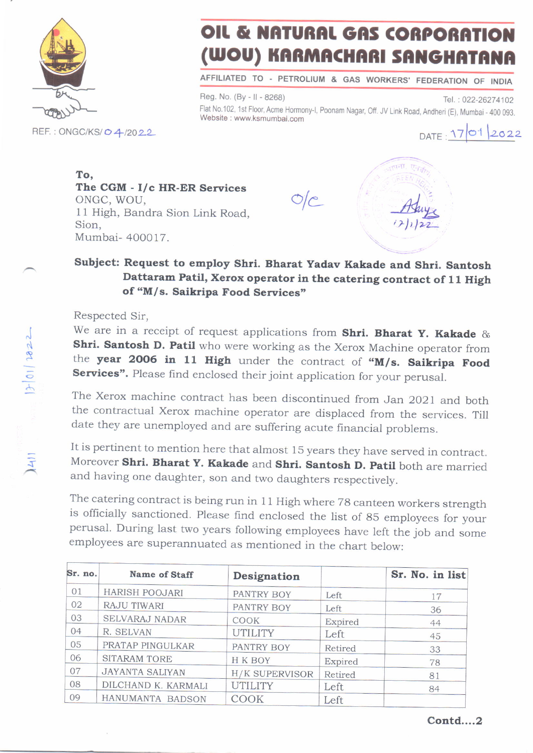

## OIL & NATURAL GAS CORPORATION WOU) KARMACHARI SANGHATANA

AFFILIATED TO PETROLIUM & GAS WORKERS' FEDERATION OF INOIA

Reg. No. (By - II - 8268) Tel.: 022-26274102 Flat No.102, 1st Floor, Acme Hormony-l, Poonam Nagar, Off. JV Link Road, Andheri (E), Mumbai - 400 093.<br>Website : www.ksmumbai.com

DATE 1701 2022

To, The CGM - I/c HR-ER Services The CGM - 1/C HR-ER Services  $O/C$ ONGC, WOU,<br>11 High, Bandra Sion Link Road, Sion, Mumbai- 400017.



## subject: Request to employ shri. Bharat yadav Kakade and shri. Santosh Dattaram Patil, Xerox operator in the catering contract of 11 High of "M/s. Saikripa Food Services"

Respected Sir,

We are in a receipt of request applications from Shri. Bharat Y. Kakade & Shri. Santosh D. Patil who were working as the Xerox Machine operator from the year 2006 in 11 High under the contract of "M/s. Saikripa Food Services". Please find enclosed their joint application for your perusal.

The Xerox machine contract has been discontinued from Jan 2021 and both the contractual Xerox machine operator are displaced from the services. Till date they are unemployed and are suffering acute financial problems.

It is pertinent to mention here that almost 15 years they have served in contract. Moreover Shri. Bharat Y. Kakade and Shri. Santosh D. Patil both are married and having one daughter, son and two daughters respectively.

The catering contract is being run in 11 High where 78 canteen workers strength is officially sanctioned. Please find enclosed the list of 85 employees for your perusal. During last two years following employees have left the job and some employees are superannuated as mentioned in the chart below:

| Sr. no. | Name of Staff          | Designation           |         | Sr. No. in list |
|---------|------------------------|-----------------------|---------|-----------------|
| 01      | HARISH POOJARI         | PANTRY BOY            | Left    | 17              |
| 02      | RAJU TIWARI            | PANTRY BOY            | Left    | 36              |
| 03      | SELVARAJ NADAR         | COOK                  | Expired | 44              |
| 04      | R. SELVAN              | <b>UTILITY</b>        | Left    | 45              |
| 05      | PRATAP PINGULKAR       | PANTRY BOY            | Retired | 33              |
| 06      | <b>SITARAM TORE</b>    | H K BOY               | Expired | 78              |
| 07      | <b>JAYANTA SALIYAN</b> | <b>H/K SUPERVISOR</b> | Retired | 81              |
| 08      | DILCHAND K. KARMALI    | <b>UTILITY</b>        | Left    | 84              |
| 09      | HANUMANTA BADSON       | COOK                  | Left    |                 |